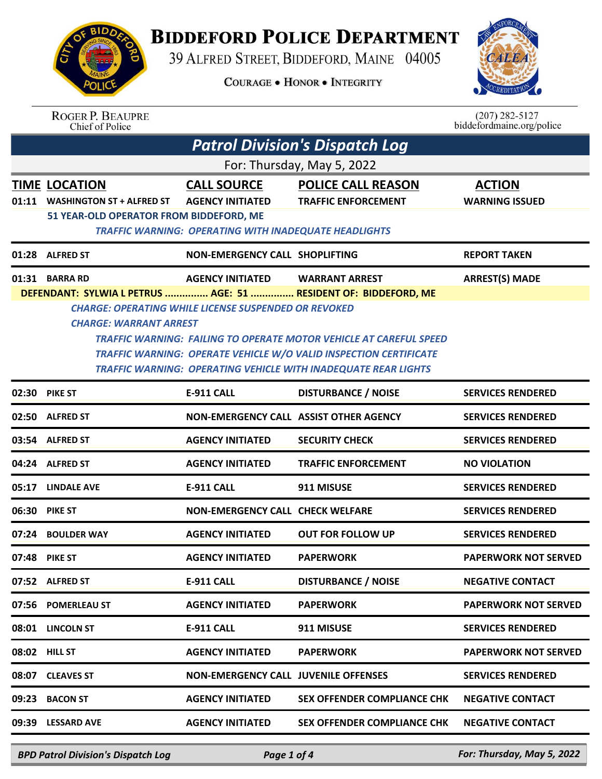

## **BIDDEFORD POLICE DEPARTMENT**

39 ALFRED STREET, BIDDEFORD, MAINE 04005

**COURAGE . HONOR . INTEGRITY** 



## ROGER P. BEAUPRE<br>Chief of Police

 $(207)$  282-5127<br>biddefordmaine.org/police

| <b>Patrol Division's Dispatch Log</b>                    |                                               |                                                                          |                                                                                                                                                                                                                                                                                                                                                                                                                                                                                                                                                                                                                        |  |  |
|----------------------------------------------------------|-----------------------------------------------|--------------------------------------------------------------------------|------------------------------------------------------------------------------------------------------------------------------------------------------------------------------------------------------------------------------------------------------------------------------------------------------------------------------------------------------------------------------------------------------------------------------------------------------------------------------------------------------------------------------------------------------------------------------------------------------------------------|--|--|
| For: Thursday, May 5, 2022                               |                                               |                                                                          |                                                                                                                                                                                                                                                                                                                                                                                                                                                                                                                                                                                                                        |  |  |
| <b>TIME LOCATION</b><br><b>WASHINGTON ST + ALFRED ST</b> | <b>CALL SOURCE</b><br><b>AGENCY INITIATED</b> | <b>POLICE CALL REASON</b><br><b>TRAFFIC ENFORCEMENT</b>                  | <b>ACTION</b><br><b>WARNING ISSUED</b>                                                                                                                                                                                                                                                                                                                                                                                                                                                                                                                                                                                 |  |  |
| 01:28 ALFRED ST                                          |                                               |                                                                          | <b>REPORT TAKEN</b>                                                                                                                                                                                                                                                                                                                                                                                                                                                                                                                                                                                                    |  |  |
| 01:31 BARRA RD                                           | <b>AGENCY INITIATED</b>                       | <b>WARRANT ARREST</b>                                                    | <b>ARREST(S) MADE</b>                                                                                                                                                                                                                                                                                                                                                                                                                                                                                                                                                                                                  |  |  |
| 02:30 PIKE ST                                            | <b>E-911 CALL</b>                             |                                                                          | <b>SERVICES RENDERED</b>                                                                                                                                                                                                                                                                                                                                                                                                                                                                                                                                                                                               |  |  |
| 02:50 ALFRED ST                                          |                                               |                                                                          | <b>SERVICES RENDERED</b>                                                                                                                                                                                                                                                                                                                                                                                                                                                                                                                                                                                               |  |  |
| 03:54 ALFRED ST                                          | <b>AGENCY INITIATED</b>                       | <b>SECURITY CHECK</b>                                                    | <b>SERVICES RENDERED</b>                                                                                                                                                                                                                                                                                                                                                                                                                                                                                                                                                                                               |  |  |
| 04:24 ALFRED ST                                          | <b>AGENCY INITIATED</b>                       | <b>TRAFFIC ENFORCEMENT</b>                                               | <b>NO VIOLATION</b>                                                                                                                                                                                                                                                                                                                                                                                                                                                                                                                                                                                                    |  |  |
| 05:17<br><b>LINDALE AVE</b>                              | <b>E-911 CALL</b>                             | 911 MISUSE                                                               | <b>SERVICES RENDERED</b>                                                                                                                                                                                                                                                                                                                                                                                                                                                                                                                                                                                               |  |  |
| 06:30 PIKE ST                                            |                                               |                                                                          | <b>SERVICES RENDERED</b>                                                                                                                                                                                                                                                                                                                                                                                                                                                                                                                                                                                               |  |  |
| 07:24<br><b>BOULDER WAY</b>                              | <b>AGENCY INITIATED</b>                       | <b>OUT FOR FOLLOW UP</b>                                                 | <b>SERVICES RENDERED</b>                                                                                                                                                                                                                                                                                                                                                                                                                                                                                                                                                                                               |  |  |
| 07:48 PIKE ST                                            | <b>AGENCY INITIATED</b>                       | <b>PAPERWORK</b>                                                         | <b>PAPERWORK NOT SERVED</b>                                                                                                                                                                                                                                                                                                                                                                                                                                                                                                                                                                                            |  |  |
| 07:52 ALFRED ST                                          | E-911 CALL                                    | <b>DISTURBANCE / NOISE</b>                                               | <b>NEGATIVE CONTACT</b>                                                                                                                                                                                                                                                                                                                                                                                                                                                                                                                                                                                                |  |  |
| 07:56 POMERLEAU ST                                       | <b>AGENCY INITIATED</b>                       | <b>PAPERWORK</b>                                                         | <b>PAPERWORK NOT SERVED</b>                                                                                                                                                                                                                                                                                                                                                                                                                                                                                                                                                                                            |  |  |
| 08:01 LINCOLN ST                                         | <b>E-911 CALL</b>                             | 911 MISUSE                                                               | <b>SERVICES RENDERED</b>                                                                                                                                                                                                                                                                                                                                                                                                                                                                                                                                                                                               |  |  |
| 08:02 HILL ST                                            | <b>AGENCY INITIATED</b>                       | <b>PAPERWORK</b>                                                         | <b>PAPERWORK NOT SERVED</b>                                                                                                                                                                                                                                                                                                                                                                                                                                                                                                                                                                                            |  |  |
| 08:07 CLEAVES ST                                         |                                               |                                                                          | <b>SERVICES RENDERED</b>                                                                                                                                                                                                                                                                                                                                                                                                                                                                                                                                                                                               |  |  |
| 09:23 BACON ST                                           | <b>AGENCY INITIATED</b>                       | SEX OFFENDER COMPLIANCE CHK                                              | <b>NEGATIVE CONTACT</b>                                                                                                                                                                                                                                                                                                                                                                                                                                                                                                                                                                                                |  |  |
| 09:39 LESSARD AVE                                        | <b>AGENCY INITIATED</b>                       | <b>SEX OFFENDER COMPLIANCE CHK</b>                                       | <b>NEGATIVE CONTACT</b>                                                                                                                                                                                                                                                                                                                                                                                                                                                                                                                                                                                                |  |  |
|                                                          |                                               | 51 YEAR-OLD OPERATOR FROM BIDDEFORD, ME<br><b>CHARGE: WARRANT ARREST</b> | <b>TRAFFIC WARNING: OPERATING WITH INADEQUATE HEADLIGHTS</b><br>NON-EMERGENCY CALL SHOPLIFTING<br>DEFENDANT: SYLWIA L PETRUS  AGE: 51  RESIDENT OF: BIDDEFORD, ME<br><b>CHARGE: OPERATING WHILE LICENSE SUSPENDED OR REVOKED</b><br><b>TRAFFIC WARNING: FAILING TO OPERATE MOTOR VEHICLE AT CAREFUL SPEED</b><br><b>TRAFFIC WARNING: OPERATE VEHICLE W/O VALID INSPECTION CERTIFICATE</b><br>TRAFFIC WARNING: OPERATING VEHICLE WITH INADEQUATE REAR LIGHTS<br><b>DISTURBANCE / NOISE</b><br>NON-EMERGENCY CALL ASSIST OTHER AGENCY<br>NON-EMERGENCY CALL CHECK WELFARE<br><b>NON-EMERGENCY CALL JUVENILE OFFENSES</b> |  |  |

*BPD Patrol Division's Dispatch Log Page 1 of 4 For: Thursday, May 5, 2022*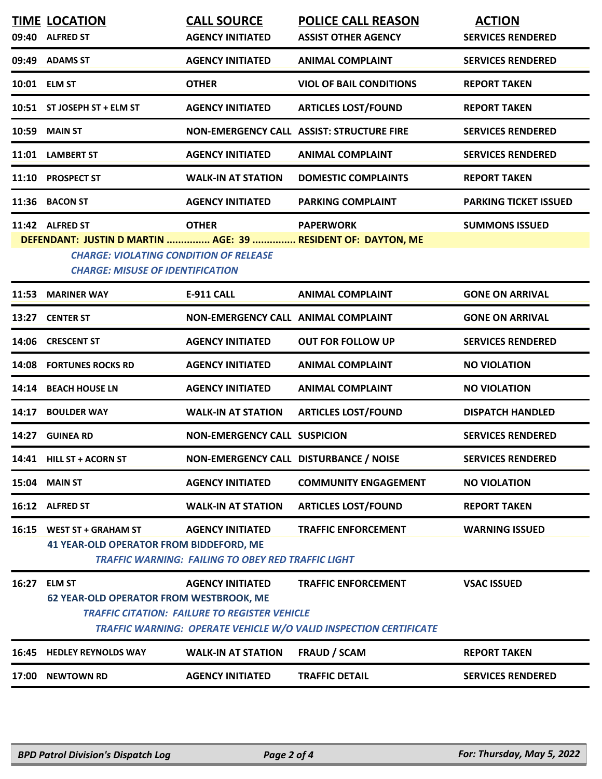|              | 17:00 NEWTOWN RD                                                                         | <b>AGENCY INITIATED</b>                                                              | <b>TRAFFIC DETAIL</b>                                                                                  | <b>SERVICES RENDERED</b>     |
|--------------|------------------------------------------------------------------------------------------|--------------------------------------------------------------------------------------|--------------------------------------------------------------------------------------------------------|------------------------------|
| 16:45        | <b>HEDLEY REYNOLDS WAY</b>                                                               | <b>WALK-IN AT STATION</b>                                                            | <b>FRAUD / SCAM</b>                                                                                    | <b>REPORT TAKEN</b>          |
| 16:27        | <b>ELM ST</b><br><b>62 YEAR-OLD OPERATOR FROM WESTBROOK, ME</b>                          | <b>AGENCY INITIATED</b><br><b>TRAFFIC CITATION: FAILURE TO REGISTER VEHICLE</b>      | <b>TRAFFIC ENFORCEMENT</b><br><b>TRAFFIC WARNING: OPERATE VEHICLE W/O VALID INSPECTION CERTIFICATE</b> | <b>VSAC ISSUED</b>           |
| 16:15        | <b>WEST ST + GRAHAM ST</b><br><b>41 YEAR-OLD OPERATOR FROM BIDDEFORD, ME</b>             | <b>AGENCY INITIATED</b><br><b>TRAFFIC WARNING: FAILING TO OBEY RED TRAFFIC LIGHT</b> | <b>TRAFFIC ENFORCEMENT</b>                                                                             | <b>WARNING ISSUED</b>        |
|              | 16:12 ALFRED ST                                                                          | <b>WALK-IN AT STATION</b>                                                            | <b>ARTICLES LOST/FOUND</b>                                                                             | <b>REPORT TAKEN</b>          |
| 15:04        | <b>MAIN ST</b>                                                                           | <b>AGENCY INITIATED</b>                                                              | <b>COMMUNITY ENGAGEMENT</b>                                                                            | <b>NO VIOLATION</b>          |
|              | 14:41 HILL ST + ACORN ST                                                                 | NON-EMERGENCY CALL DISTURBANCE / NOISE                                               |                                                                                                        | <b>SERVICES RENDERED</b>     |
| 14:27        | <b>GUINEA RD</b>                                                                         | <b>NON-EMERGENCY CALL SUSPICION</b>                                                  |                                                                                                        | <b>SERVICES RENDERED</b>     |
| 14:17        | <b>BOULDER WAY</b>                                                                       | <b>WALK-IN AT STATION</b>                                                            | <b>ARTICLES LOST/FOUND</b>                                                                             | <b>DISPATCH HANDLED</b>      |
| 14:14        | <b>BEACH HOUSE LN</b>                                                                    | <b>AGENCY INITIATED</b>                                                              | <b>ANIMAL COMPLAINT</b>                                                                                | <b>NO VIOLATION</b>          |
| 14:08        | <b>FORTUNES ROCKS RD</b>                                                                 | <b>AGENCY INITIATED</b>                                                              | <b>ANIMAL COMPLAINT</b>                                                                                | <b>NO VIOLATION</b>          |
| 14:06        | <b>CRESCENT ST</b>                                                                       | <b>AGENCY INITIATED</b>                                                              | <b>OUT FOR FOLLOW UP</b>                                                                               | <b>SERVICES RENDERED</b>     |
|              | 13:27 CENTER ST                                                                          | NON-EMERGENCY CALL ANIMAL COMPLAINT                                                  |                                                                                                        | <b>GONE ON ARRIVAL</b>       |
| 11:53        | <b>MARINER WAY</b>                                                                       | <b>E-911 CALL</b>                                                                    | <b>ANIMAL COMPLAINT</b>                                                                                | <b>GONE ON ARRIVAL</b>       |
|              | <b>CHARGE: VIOLATING CONDITION OF RELEASE</b><br><b>CHARGE: MISUSE OF IDENTIFICATION</b> |                                                                                      |                                                                                                        |                              |
|              | 11:42 ALFRED ST<br>DEFENDANT: JUSTIN D MARTIN  AGE: 39  RESIDENT OF: DAYTON, ME          | <b>OTHER</b>                                                                         | <b>PAPERWORK</b>                                                                                       | <b>SUMMONS ISSUED</b>        |
|              | 11:36 BACON ST                                                                           | <b>AGENCY INITIATED</b>                                                              | <b>PARKING COMPLAINT</b>                                                                               | <b>PARKING TICKET ISSUED</b> |
| 11:10        | <b>PROSPECT ST</b>                                                                       | <b>WALK-IN AT STATION</b>                                                            | <b>DOMESTIC COMPLAINTS</b>                                                                             | <b>REPORT TAKEN</b>          |
|              | 11:01 LAMBERT ST                                                                         | <b>AGENCY INITIATED</b>                                                              | <b>ANIMAL COMPLAINT</b>                                                                                | <b>SERVICES RENDERED</b>     |
| 10:59        | <b>MAIN ST</b>                                                                           |                                                                                      | NON-EMERGENCY CALL ASSIST: STRUCTURE FIRE                                                              | <b>SERVICES RENDERED</b>     |
|              | 10:51 ST JOSEPH ST + ELM ST                                                              | <b>AGENCY INITIATED</b>                                                              | <b>ARTICLES LOST/FOUND</b>                                                                             | <b>REPORT TAKEN</b>          |
| 10:01 ELM ST |                                                                                          | <b>OTHER</b>                                                                         | <b>VIOL OF BAIL CONDITIONS</b>                                                                         | <b>REPORT TAKEN</b>          |
|              | 09:49 ADAMS ST                                                                           | <b>AGENCY INITIATED</b>                                                              | <b>ANIMAL COMPLAINT</b>                                                                                | <b>SERVICES RENDERED</b>     |
|              | 09:40 ALFRED ST                                                                          | <b>AGENCY INITIATED</b>                                                              | <b>ASSIST OTHER AGENCY</b>                                                                             | <b>SERVICES RENDERED</b>     |
|              | <b>TIME LOCATION</b>                                                                     | <b>CALL SOURCE</b>                                                                   | <b>POLICE CALL REASON</b>                                                                              | <b>ACTION</b>                |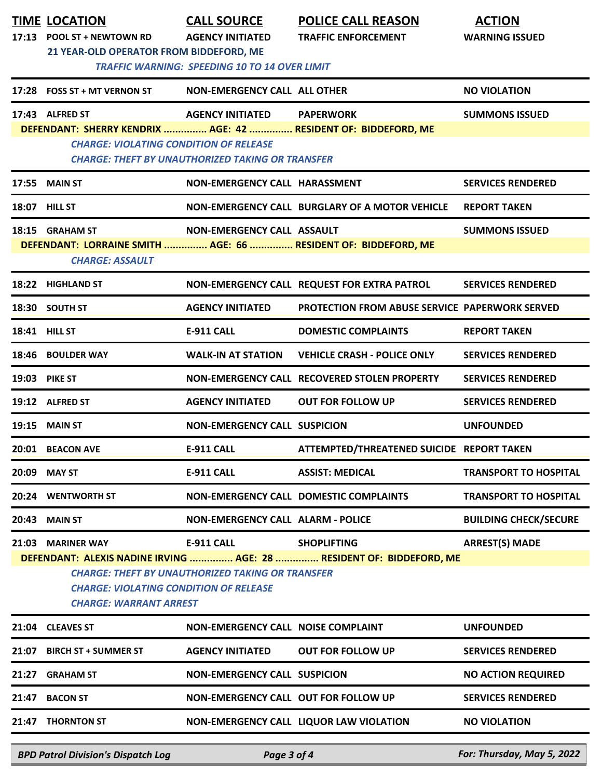|                                                                                                                                                                                                                                                                                                     | <b>TIME LOCATION</b><br>17:13 POOL ST + NEWTOWN RD<br>21 YEAR-OLD OPERATOR FROM BIDDEFORD, ME | <b>CALL SOURCE</b><br><b>AGENCY INITIATED</b><br><b>TRAFFIC WARNING: SPEEDING 10 TO 14 OVER LIMIT</b> | <b>POLICE CALL REASON</b><br><b>TRAFFIC ENFORCEMENT</b>                            | <b>ACTION</b><br><b>WARNING ISSUED</b> |  |
|-----------------------------------------------------------------------------------------------------------------------------------------------------------------------------------------------------------------------------------------------------------------------------------------------------|-----------------------------------------------------------------------------------------------|-------------------------------------------------------------------------------------------------------|------------------------------------------------------------------------------------|----------------------------------------|--|
|                                                                                                                                                                                                                                                                                                     | 17:28 FOSS ST + MT VERNON ST                                                                  | NON-EMERGENCY CALL ALL OTHER                                                                          |                                                                                    | <b>NO VIOLATION</b>                    |  |
|                                                                                                                                                                                                                                                                                                     | 17:43 ALFRED ST<br><b>CHARGE: VIOLATING CONDITION OF RELEASE</b>                              | <b>AGENCY INITIATED</b><br><b>CHARGE: THEFT BY UNAUTHORIZED TAKING OR TRANSFER</b>                    | <b>PAPERWORK</b><br>DEFENDANT: SHERRY KENDRIX  AGE: 42  RESIDENT OF: BIDDEFORD, ME | <b>SUMMONS ISSUED</b>                  |  |
|                                                                                                                                                                                                                                                                                                     | <b>17:55 MAIN ST</b>                                                                          | NON-EMERGENCY CALL HARASSMENT                                                                         |                                                                                    | <b>SERVICES RENDERED</b>               |  |
|                                                                                                                                                                                                                                                                                                     | <b>18:07 HILL ST</b>                                                                          |                                                                                                       | NON-EMERGENCY CALL BURGLARY OF A MOTOR VEHICLE                                     | <b>REPORT TAKEN</b>                    |  |
|                                                                                                                                                                                                                                                                                                     | 18:15 GRAHAM ST<br><b>CHARGE: ASSAULT</b>                                                     | NON-EMERGENCY CALL ASSAULT                                                                            | DEFENDANT: LORRAINE SMITH  AGE: 66  RESIDENT OF: BIDDEFORD, ME                     | <b>SUMMONS ISSUED</b>                  |  |
|                                                                                                                                                                                                                                                                                                     | 18:22 HIGHLAND ST                                                                             |                                                                                                       | NON-EMERGENCY CALL REQUEST FOR EXTRA PATROL                                        | <b>SERVICES RENDERED</b>               |  |
|                                                                                                                                                                                                                                                                                                     | 18:30 SOUTH ST                                                                                | <b>AGENCY INITIATED</b>                                                                               | <b>PROTECTION FROM ABUSE SERVICE PAPERWORK SERVED</b>                              |                                        |  |
|                                                                                                                                                                                                                                                                                                     | <b>18:41 HILL ST</b>                                                                          | <b>E-911 CALL</b>                                                                                     | <b>DOMESTIC COMPLAINTS</b>                                                         | <b>REPORT TAKEN</b>                    |  |
|                                                                                                                                                                                                                                                                                                     | 18:46 BOULDER WAY                                                                             | <b>WALK-IN AT STATION</b>                                                                             | <b>VEHICLE CRASH - POLICE ONLY</b>                                                 | <b>SERVICES RENDERED</b>               |  |
|                                                                                                                                                                                                                                                                                                     | <b>19:03 PIKE ST</b>                                                                          |                                                                                                       | NON-EMERGENCY CALL RECOVERED STOLEN PROPERTY                                       | <b>SERVICES RENDERED</b>               |  |
|                                                                                                                                                                                                                                                                                                     | 19:12 ALFRED ST                                                                               | <b>AGENCY INITIATED</b>                                                                               | <b>OUT FOR FOLLOW UP</b>                                                           | <b>SERVICES RENDERED</b>               |  |
|                                                                                                                                                                                                                                                                                                     | <b>19:15 MAIN ST</b>                                                                          | <b>NON-EMERGENCY CALL SUSPICION</b>                                                                   |                                                                                    | <b>UNFOUNDED</b>                       |  |
|                                                                                                                                                                                                                                                                                                     | 20:01 BEACON AVE                                                                              | <b>E-911 CALL</b>                                                                                     | ATTEMPTED/THREATENED SUICIDE REPORT TAKEN                                          |                                        |  |
|                                                                                                                                                                                                                                                                                                     | 20:09 MAY ST                                                                                  | <b>E-911 CALL</b>                                                                                     | <b>ASSIST: MEDICAL</b>                                                             | <b>TRANSPORT TO HOSPITAL</b>           |  |
|                                                                                                                                                                                                                                                                                                     | 20:24 WENTWORTH ST                                                                            |                                                                                                       | NON-EMERGENCY CALL DOMESTIC COMPLAINTS                                             | <b>TRANSPORT TO HOSPITAL</b>           |  |
|                                                                                                                                                                                                                                                                                                     | 20:43 MAIN ST                                                                                 | <b>NON-EMERGENCY CALL ALARM - POLICE</b>                                                              |                                                                                    | <b>BUILDING CHECK/SECURE</b>           |  |
| <b>ARREST(S) MADE</b><br>21:03 MARINER WAY<br>E-911 CALL<br><b>SHOPLIFTING</b><br>DEFENDANT: ALEXIS NADINE IRVING  AGE: 28  RESIDENT OF: BIDDEFORD, ME<br><b>CHARGE: THEFT BY UNAUTHORIZED TAKING OR TRANSFER</b><br><b>CHARGE: VIOLATING CONDITION OF RELEASE</b><br><b>CHARGE: WARRANT ARREST</b> |                                                                                               |                                                                                                       |                                                                                    |                                        |  |
|                                                                                                                                                                                                                                                                                                     | 21:04 CLEAVES ST                                                                              | NON-EMERGENCY CALL NOISE COMPLAINT                                                                    |                                                                                    | <b>UNFOUNDED</b>                       |  |
| 21:07                                                                                                                                                                                                                                                                                               | <b>BIRCH ST + SUMMER ST</b>                                                                   | <b>AGENCY INITIATED</b>                                                                               | <b>OUT FOR FOLLOW UP</b>                                                           | <b>SERVICES RENDERED</b>               |  |
| 21:27                                                                                                                                                                                                                                                                                               | <b>GRAHAM ST</b>                                                                              | <b>NON-EMERGENCY CALL SUSPICION</b>                                                                   |                                                                                    | <b>NO ACTION REQUIRED</b>              |  |
| 21:47                                                                                                                                                                                                                                                                                               | <b>BACON ST</b>                                                                               | NON-EMERGENCY CALL OUT FOR FOLLOW UP                                                                  |                                                                                    | <b>SERVICES RENDERED</b>               |  |
|                                                                                                                                                                                                                                                                                                     | 21:47 THORNTON ST                                                                             |                                                                                                       | NON-EMERGENCY CALL LIQUOR LAW VIOLATION                                            | <b>NO VIOLATION</b>                    |  |
|                                                                                                                                                                                                                                                                                                     | <b>BPD Patrol Division's Dispatch Log</b>                                                     | Page 3 of 4                                                                                           |                                                                                    | For: Thursday, May 5, 2022             |  |